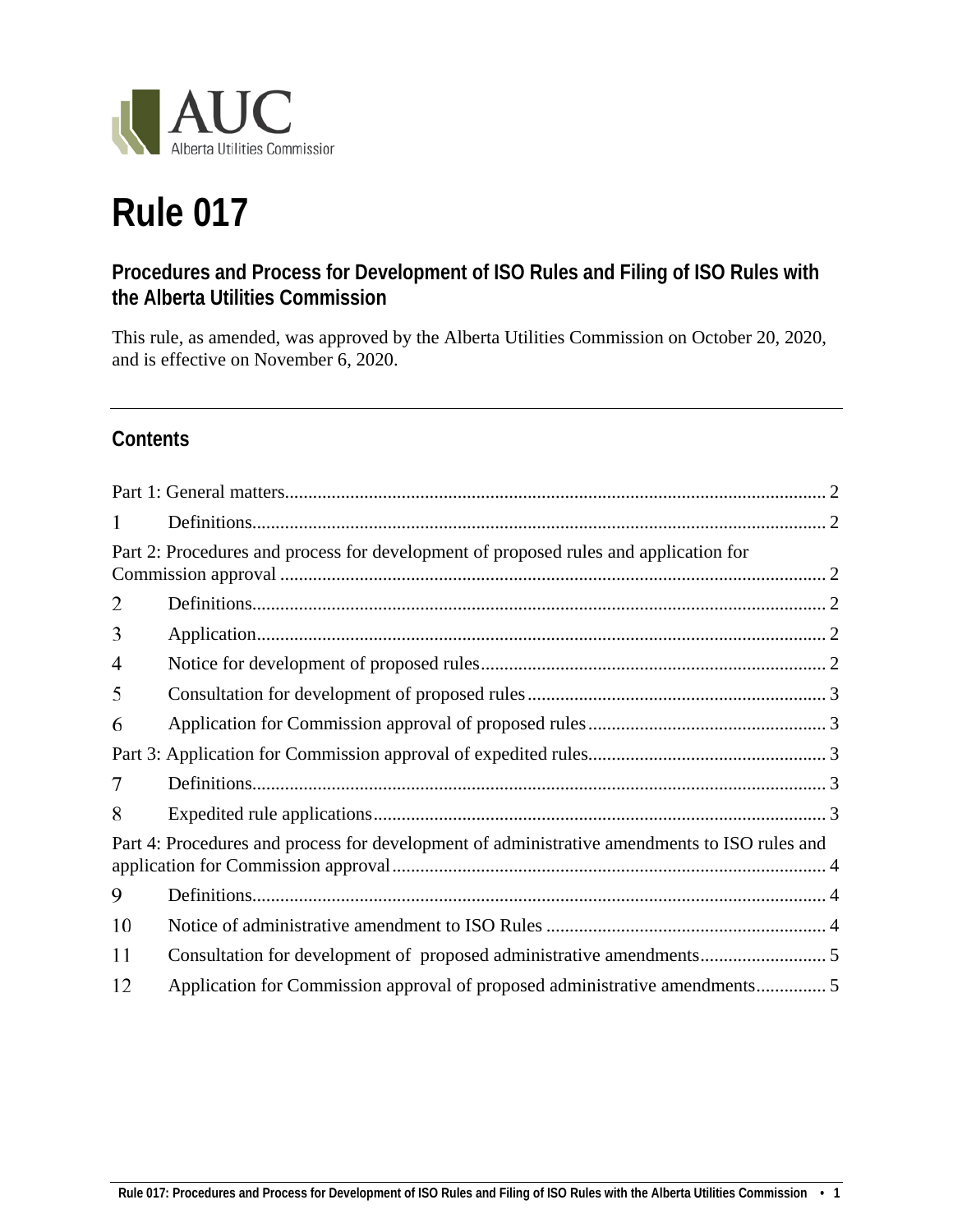

# **Rule 017**

# **Procedures and Process for Development of ISO Rules and Filing of ISO Rules with the Alberta Utilities Commission**

This rule, as amended, was approved by the Alberta Utilities Commission on October 20, 2020, and is effective on November 6, 2020.

# **Contents**

| 1  |                                                                                              |  |
|----|----------------------------------------------------------------------------------------------|--|
|    | Part 2: Procedures and process for development of proposed rules and application for         |  |
| 2  |                                                                                              |  |
| 3  |                                                                                              |  |
| 4  |                                                                                              |  |
| 5  |                                                                                              |  |
| 6  |                                                                                              |  |
|    |                                                                                              |  |
| 7  |                                                                                              |  |
| 8  |                                                                                              |  |
|    | Part 4: Procedures and process for development of administrative amendments to ISO rules and |  |
| 9  |                                                                                              |  |
| 10 |                                                                                              |  |
| 11 |                                                                                              |  |
| 12 |                                                                                              |  |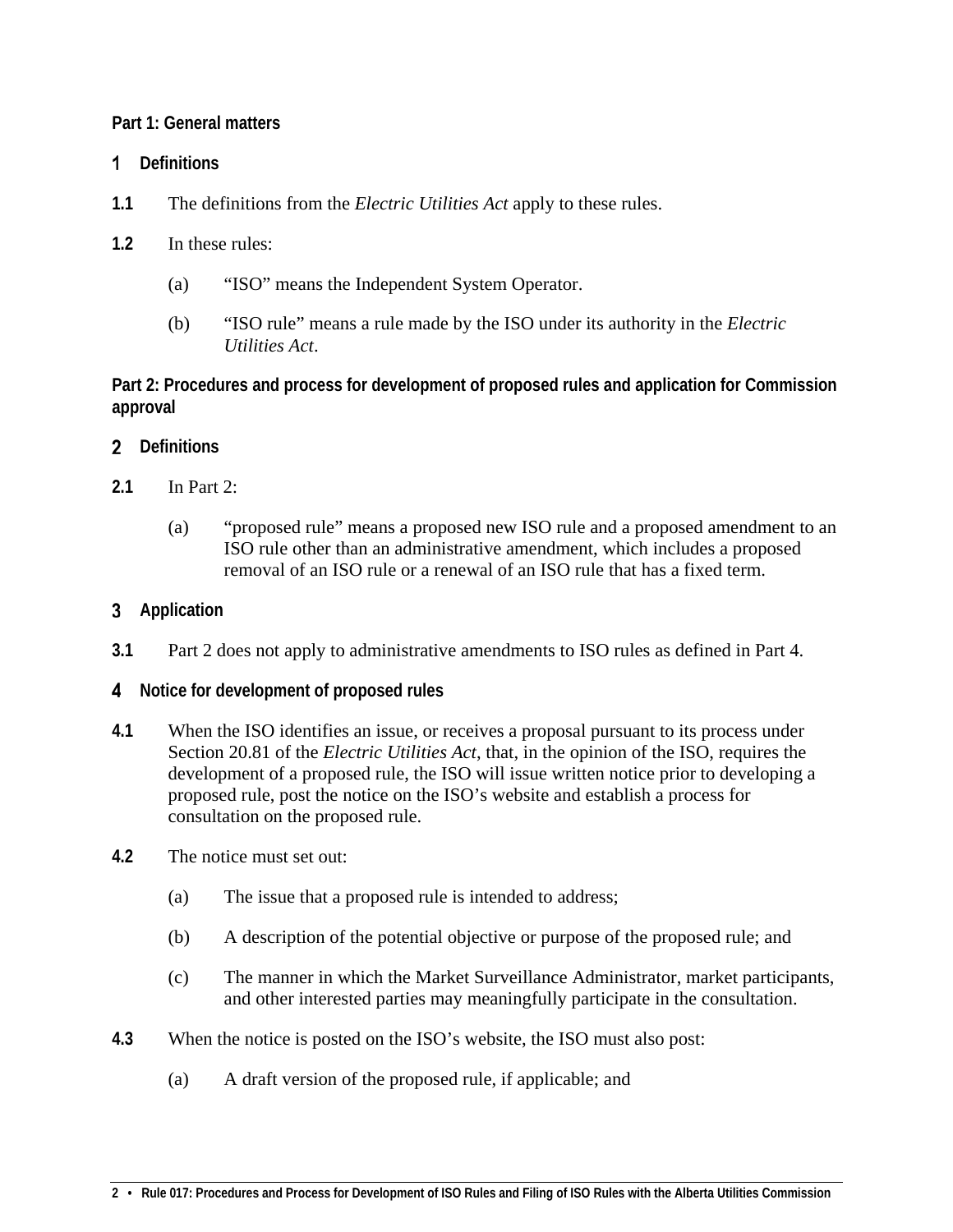#### <span id="page-1-0"></span>**Part 1: General matters**

## <span id="page-1-1"></span>**Definitions**

- **1.1** The definitions from the *Electric Utilities Act* apply to these rules.
- **1.2** In these rules:
	- (a) "ISO" means the Independent System Operator.
	- (b) "ISO rule" means a rule made by the ISO under its authority in the *Electric Utilities Act*.

<span id="page-1-2"></span>**Part 2: Procedures and process for development of proposed rules and application for Commission approval**

# <span id="page-1-3"></span>**Definitions**

- **2.1** In Part 2:
	- (a) "proposed rule" means a proposed new ISO rule and a proposed amendment to an ISO rule other than an administrative amendment, which includes a proposed removal of an ISO rule or a renewal of an ISO rule that has a fixed term.

# <span id="page-1-4"></span>**Application**

**3.1** Part 2 does not apply to administrative amendments to ISO rules as defined in Part 4.

## <span id="page-1-5"></span>**Notice for development of proposed rules**

- **4.1** When the ISO identifies an issue, or receives a proposal pursuant to its process under Section 20.81 of the *Electric Utilities Act*, that, in the opinion of the ISO, requires the development of a proposed rule, the ISO will issue written notice prior to developing a proposed rule, post the notice on the ISO's website and establish a process for consultation on the proposed rule.
- **4.2** The notice must set out:
	- (a) The issue that a proposed rule is intended to address;
	- (b) A description of the potential objective or purpose of the proposed rule; and
	- (c) The manner in which the Market Surveillance Administrator, market participants, and other interested parties may meaningfully participate in the consultation.
- **4.3** When the notice is posted on the ISO's website, the ISO must also post:
	- (a) A draft version of the proposed rule, if applicable; and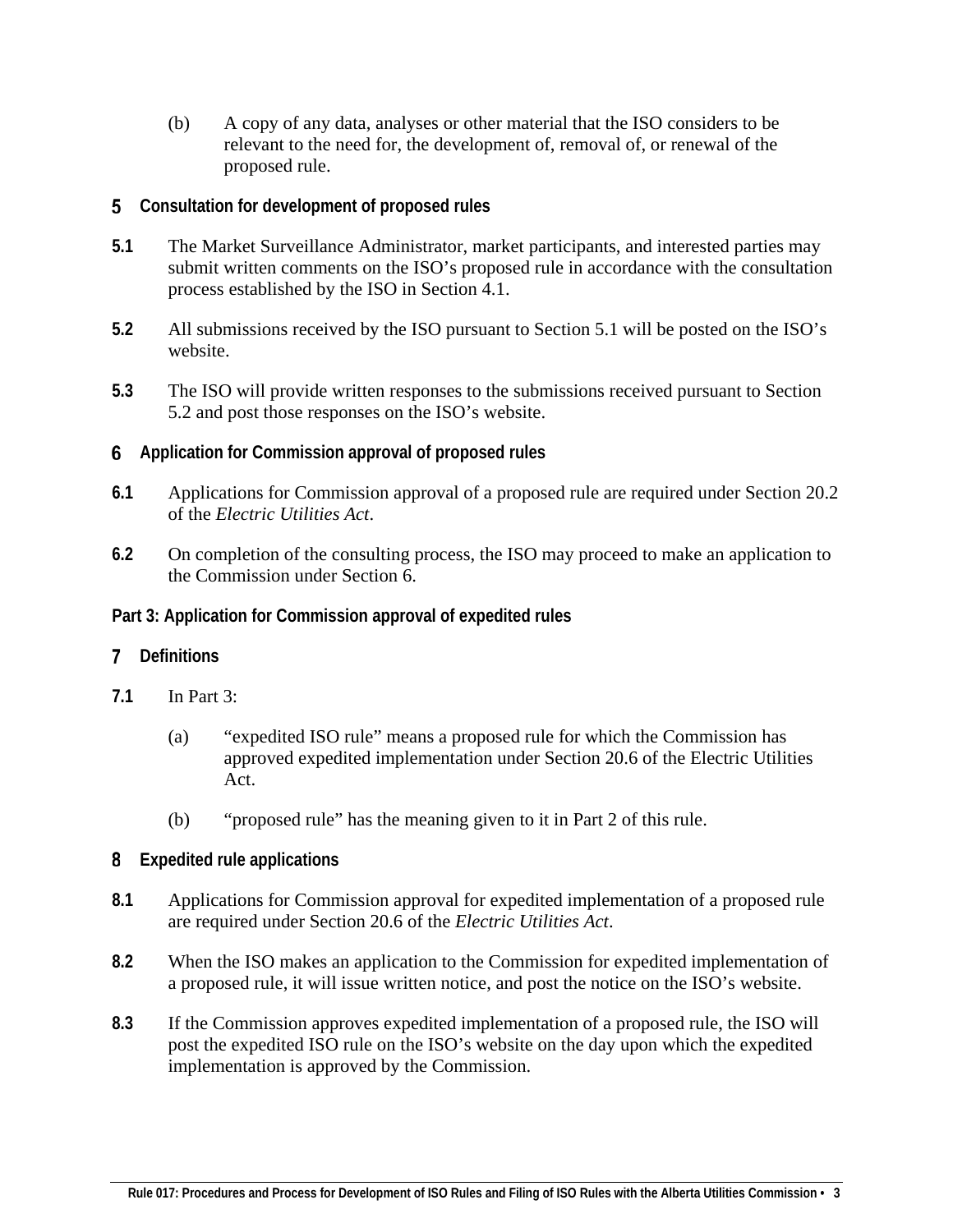- (b) A copy of any data, analyses or other material that the ISO considers to be relevant to the need for, the development of, removal of, or renewal of the proposed rule.
- <span id="page-2-0"></span>**Consultation for development of proposed rules**
- **5.1** The Market Surveillance Administrator, market participants, and interested parties may submit written comments on the ISO's proposed rule in accordance with the consultation process established by the ISO in Section 4.1.
- **5.2** All submissions received by the ISO pursuant to Section 5.1 will be posted on the ISO's website.
- **5.3** The ISO will provide written responses to the submissions received pursuant to Section 5.2 and post those responses on the ISO's website.
- <span id="page-2-1"></span>**Application for Commission approval of proposed rules**
- **6.1** Applications for Commission approval of a proposed rule are required under Section 20.2 of the *Electric Utilities Act*.
- **6.2** On completion of the consulting process, the ISO may proceed to make an application to the Commission under Section 6.
- <span id="page-2-2"></span>**Part 3: Application for Commission approval of expedited rules**

## <span id="page-2-3"></span>**Definitions**

- **7.1** In Part 3:
	- (a) "expedited ISO rule" means a proposed rule for which the Commission has approved expedited implementation under Section 20.6 of the Electric Utilities Act.
	- (b) "proposed rule" has the meaning given to it in Part 2 of this rule.

#### <span id="page-2-4"></span>**Expedited rule applications**

- **8.1** Applications for Commission approval for expedited implementation of a proposed rule are required under Section 20.6 of the *Electric Utilities Act*.
- **8.2** When the ISO makes an application to the Commission for expedited implementation of a proposed rule, it will issue written notice, and post the notice on the ISO's website.
- **8.3** If the Commission approves expedited implementation of a proposed rule, the ISO will post the expedited ISO rule on the ISO's website on the day upon which the expedited implementation is approved by the Commission.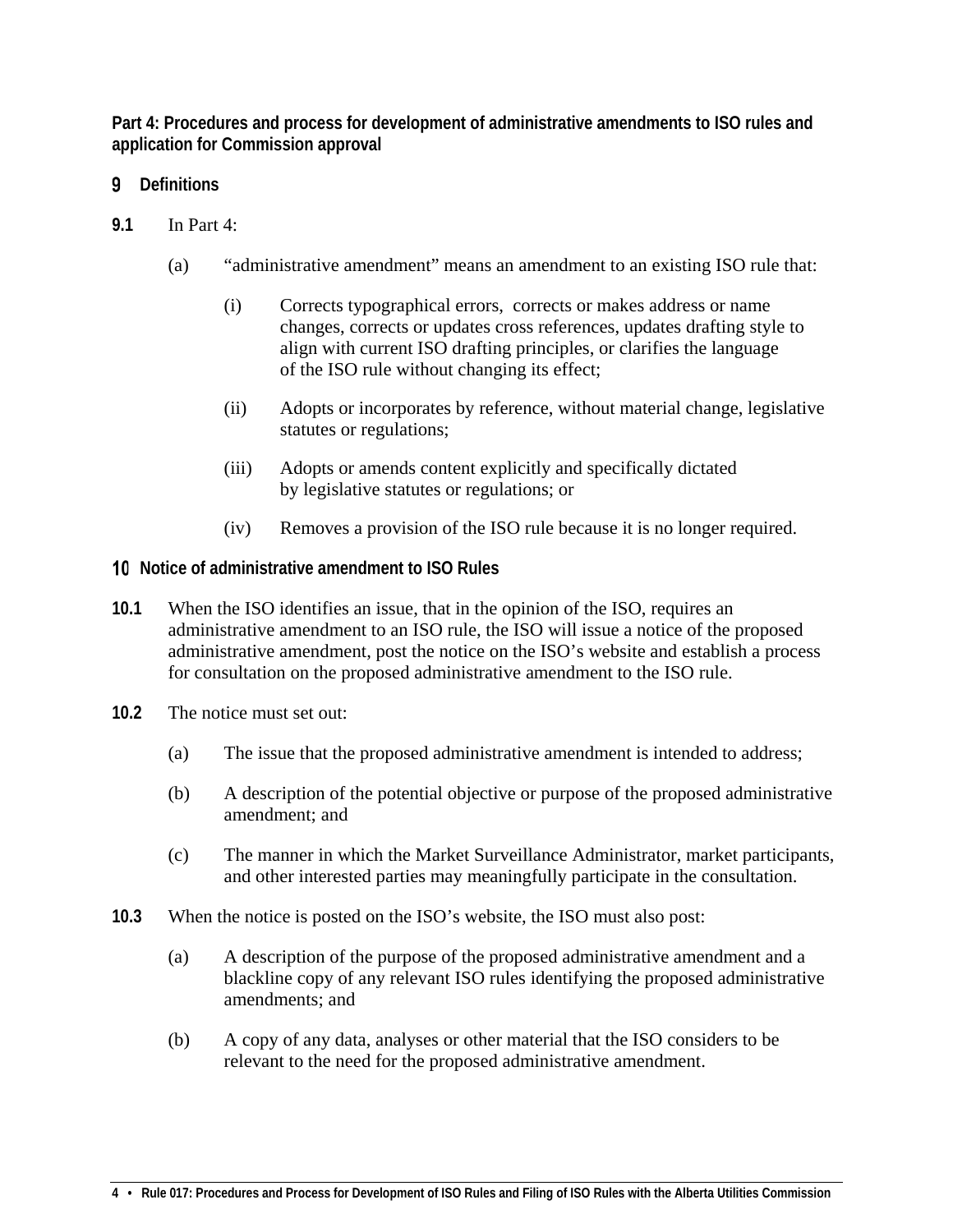<span id="page-3-0"></span>**Part 4: Procedures and process for development of administrative amendments to ISO rules and application for Commission approval**

- <span id="page-3-1"></span>**Definitions**
- **9.1** In Part 4:
	- (a) "administrative amendment" means an amendment to an existing ISO rule that:
		- (i) Corrects typographical errors, corrects or makes address or name changes, corrects or updates cross references, updates drafting style to align with current ISO drafting principles, or clarifies the language of the ISO rule without changing its effect;
		- (ii) Adopts or incorporates by reference, without material change, legislative statutes or regulations;
		- (iii) Adopts or amends content explicitly and specifically dictated by legislative statutes or regulations; or
		- (iv) Removes a provision of the ISO rule because it is no longer required.
- <span id="page-3-2"></span>**Notice of administrative amendment to ISO Rules**
- **10.1** When the ISO identifies an issue, that in the opinion of the ISO, requires an administrative amendment to an ISO rule, the ISO will issue a notice of the proposed administrative amendment, post the notice on the ISO's website and establish a process for consultation on the proposed administrative amendment to the ISO rule.
- **10.2** The notice must set out:
	- (a) The issue that the proposed administrative amendment is intended to address;
	- (b) A description of the potential objective or purpose of the proposed administrative amendment; and
	- (c) The manner in which the Market Surveillance Administrator, market participants, and other interested parties may meaningfully participate in the consultation.
- **10.3** When the notice is posted on the ISO's website, the ISO must also post:
	- (a) A description of the purpose of the proposed administrative amendment and a blackline copy of any relevant ISO rules identifying the proposed administrative amendments; and
	- (b) A copy of any data, analyses or other material that the ISO considers to be relevant to the need for the proposed administrative amendment.